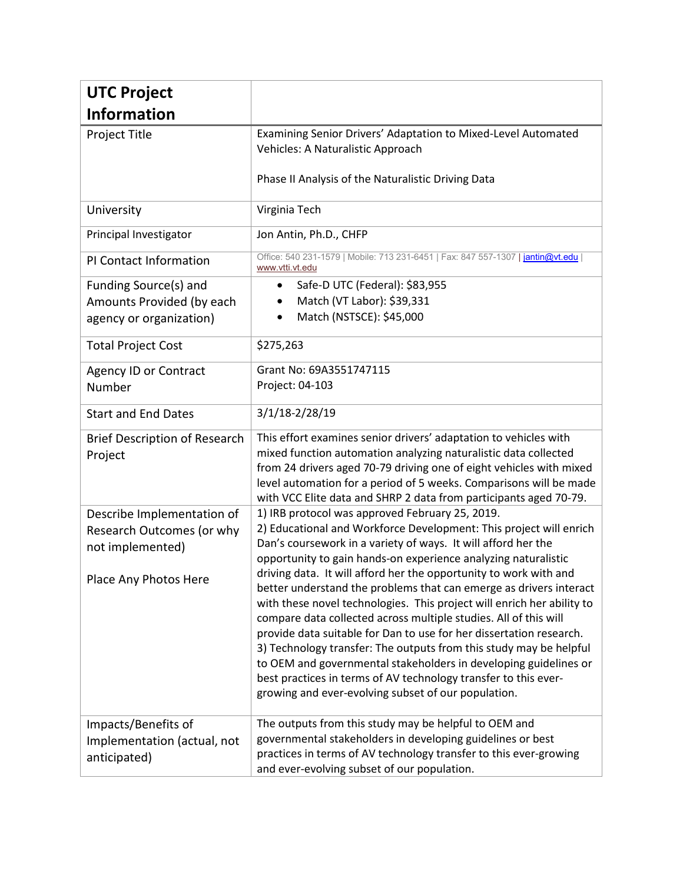| <b>UTC Project</b>                                                                                   |                                                                                                                                                                                                                                                                                                                                                                                                                                                                                                                                                                                                                                                                                                                                                                                                                                                                                              |
|------------------------------------------------------------------------------------------------------|----------------------------------------------------------------------------------------------------------------------------------------------------------------------------------------------------------------------------------------------------------------------------------------------------------------------------------------------------------------------------------------------------------------------------------------------------------------------------------------------------------------------------------------------------------------------------------------------------------------------------------------------------------------------------------------------------------------------------------------------------------------------------------------------------------------------------------------------------------------------------------------------|
| <b>Information</b>                                                                                   |                                                                                                                                                                                                                                                                                                                                                                                                                                                                                                                                                                                                                                                                                                                                                                                                                                                                                              |
| Project Title                                                                                        | Examining Senior Drivers' Adaptation to Mixed-Level Automated<br>Vehicles: A Naturalistic Approach<br>Phase II Analysis of the Naturalistic Driving Data                                                                                                                                                                                                                                                                                                                                                                                                                                                                                                                                                                                                                                                                                                                                     |
| University                                                                                           | Virginia Tech                                                                                                                                                                                                                                                                                                                                                                                                                                                                                                                                                                                                                                                                                                                                                                                                                                                                                |
| Principal Investigator                                                                               | Jon Antin, Ph.D., CHFP                                                                                                                                                                                                                                                                                                                                                                                                                                                                                                                                                                                                                                                                                                                                                                                                                                                                       |
| PI Contact Information                                                                               | Office: 540 231-1579   Mobile: 713 231-6451   Fax: 847 557-1307   jantin@vt.edu<br>www.vtti.vt.edu                                                                                                                                                                                                                                                                                                                                                                                                                                                                                                                                                                                                                                                                                                                                                                                           |
| Funding Source(s) and<br>Amounts Provided (by each<br>agency or organization)                        | Safe-D UTC (Federal): \$83,955<br>$\bullet$<br>Match (VT Labor): \$39,331<br>Match (NSTSCE): \$45,000                                                                                                                                                                                                                                                                                                                                                                                                                                                                                                                                                                                                                                                                                                                                                                                        |
| <b>Total Project Cost</b>                                                                            | \$275,263                                                                                                                                                                                                                                                                                                                                                                                                                                                                                                                                                                                                                                                                                                                                                                                                                                                                                    |
| <b>Agency ID or Contract</b><br>Number                                                               | Grant No: 69A3551747115<br>Project: 04-103                                                                                                                                                                                                                                                                                                                                                                                                                                                                                                                                                                                                                                                                                                                                                                                                                                                   |
| <b>Start and End Dates</b>                                                                           | 3/1/18-2/28/19                                                                                                                                                                                                                                                                                                                                                                                                                                                                                                                                                                                                                                                                                                                                                                                                                                                                               |
| <b>Brief Description of Research</b><br>Project                                                      | This effort examines senior drivers' adaptation to vehicles with<br>mixed function automation analyzing naturalistic data collected<br>from 24 drivers aged 70-79 driving one of eight vehicles with mixed<br>level automation for a period of 5 weeks. Comparisons will be made<br>with VCC Elite data and SHRP 2 data from participants aged 70-79.                                                                                                                                                                                                                                                                                                                                                                                                                                                                                                                                        |
| Describe Implementation of<br>Research Outcomes (or why<br>not implemented)<br>Place Any Photos Here | 1) IRB protocol was approved February 25, 2019.<br>2) Educational and Workforce Development: This project will enrich<br>Dan's coursework in a variety of ways. It will afford her the<br>opportunity to gain hands-on experience analyzing naturalistic<br>driving data. It will afford her the opportunity to work with and<br>better understand the problems that can emerge as drivers interact<br>with these novel technologies. This project will enrich her ability to<br>compare data collected across multiple studies. All of this will<br>provide data suitable for Dan to use for her dissertation research.<br>3) Technology transfer: The outputs from this study may be helpful<br>to OEM and governmental stakeholders in developing guidelines or<br>best practices in terms of AV technology transfer to this ever-<br>growing and ever-evolving subset of our population. |
| Impacts/Benefits of<br>Implementation (actual, not<br>anticipated)                                   | The outputs from this study may be helpful to OEM and<br>governmental stakeholders in developing guidelines or best<br>practices in terms of AV technology transfer to this ever-growing<br>and ever-evolving subset of our population.                                                                                                                                                                                                                                                                                                                                                                                                                                                                                                                                                                                                                                                      |